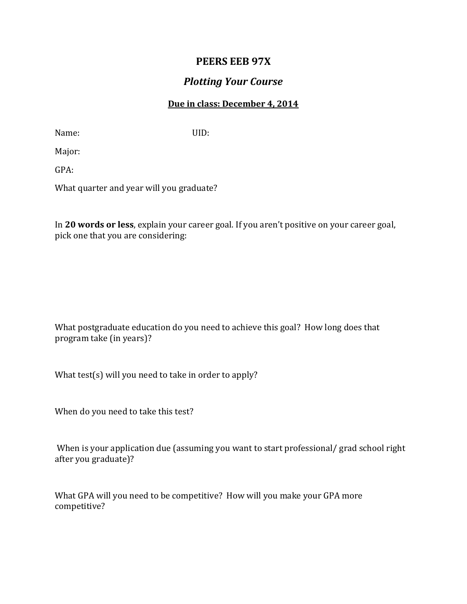## **PEERS EEB 97X**

## *Plotting Your Course*

## **Due in class: December 4, 2014**

Name: UID:

Major:

GPA:

What quarter and year will you graduate?

In **20 words or less**, explain your career goal. If you aren't positive on your career goal, pick one that you are considering:

What postgraduate education do you need to achieve this goal? How long does that program take (in years)?

What test(s) will you need to take in order to apply?

When do you need to take this test?

When is your application due (assuming you want to start professional/ grad school right after you graduate)?

What GPA will you need to be competitive? How will you make your GPA more competitive?